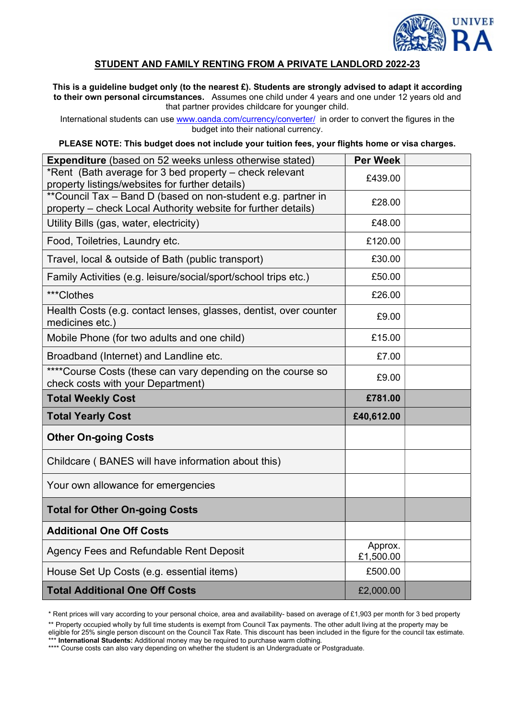

# STUDENT AND FAMILY RENTING FROM A PRIVATE LANDLORD 2022-23

This is a guideline budget only (to the nearest £). Students are strongly advised to adapt it according to their own personal circumstances. Assumes one child under 4 years and one under 12 years old and that partner provides childcare for younger child.

International students can use www.oanda.com/currency/converter/ in order to convert the figures in the budget into their national currency.

PLEASE NOTE: This budget does not include your tuition fees, your flights home or visa charges.

| <b>Expenditure</b> (based on 52 weeks unless otherwise stated)                                                                | <b>Per Week</b>      |  |
|-------------------------------------------------------------------------------------------------------------------------------|----------------------|--|
| *Rent (Bath average for 3 bed property – check relevant<br>property listings/websites for further details)                    | £439.00              |  |
| **Council Tax - Band D (based on non-student e.g. partner in<br>property - check Local Authority website for further details) | £28.00               |  |
| Utility Bills (gas, water, electricity)                                                                                       | £48.00               |  |
| Food, Toiletries, Laundry etc.                                                                                                | £120.00              |  |
| Travel, local & outside of Bath (public transport)                                                                            | £30.00               |  |
| Family Activities (e.g. leisure/social/sport/school trips etc.)                                                               | £50.00               |  |
| ***Clothes                                                                                                                    | £26.00               |  |
| Health Costs (e.g. contact lenses, glasses, dentist, over counter<br>medicines etc.)                                          | £9.00                |  |
| Mobile Phone (for two adults and one child)                                                                                   | £15.00               |  |
| Broadband (Internet) and Landline etc.                                                                                        | £7.00                |  |
| **** Course Costs (these can vary depending on the course so<br>check costs with your Department)                             | £9.00                |  |
| <b>Total Weekly Cost</b>                                                                                                      | £781.00              |  |
| <b>Total Yearly Cost</b>                                                                                                      | £40,612.00           |  |
| <b>Other On-going Costs</b>                                                                                                   |                      |  |
| Childcare (BANES will have information about this)                                                                            |                      |  |
| Your own allowance for emergencies                                                                                            |                      |  |
| <b>Total for Other On-going Costs</b>                                                                                         |                      |  |
| <b>Additional One Off Costs</b>                                                                                               |                      |  |
| Agency Fees and Refundable Rent Deposit                                                                                       | Approx.<br>£1,500.00 |  |
| House Set Up Costs (e.g. essential items)                                                                                     | £500.00              |  |
| <b>Total Additional One Off Costs</b>                                                                                         | £2,000.00            |  |

\* Rent prices will vary according to your personal choice, area and availability- based on average of £1,903 per month for 3 bed property \*\* Property occupied wholly by full time students is exempt from Council Tax payments. The other adult living at the property may be eligible for 25% single person discount on the Council Tax Rate. This discount has been included in the figure for the council tax estimate. \*\*\* International Students: Additional money may be required to purchase warm clothing.

\*\*\*\* Course costs can also vary depending on whether the student is an Undergraduate or Postgraduate.